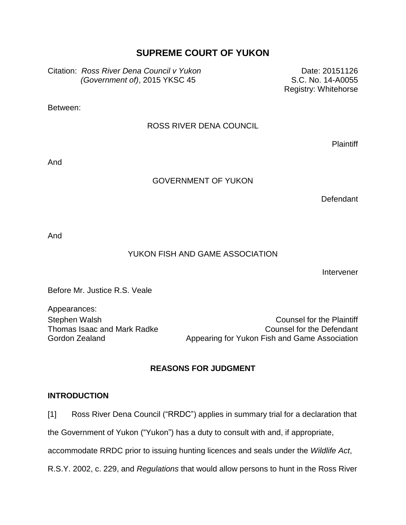# **SUPREME COURT OF YUKON**

Citation: *Ross River Dena Council v Yukon (Government of)*, 2015 YKSC 45

Date: 20151126 S.C. No. 14-A0055 Registry: Whitehorse

Between:

### ROSS RIVER DENA COUNCIL

Plaintiff

And

#### GOVERNMENT OF YUKON

**Defendant** 

And

## YUKON FISH AND GAME ASSOCIATION

Intervener

Before Mr. Justice R.S. Veale

Appearances: Thomas Isaac and Mark Radke Gordon Zealand

Stephen Walsh Counsel for the Plaintiff Counsel for the Defendant Appearing for Yukon Fish and Game Association

## **REASONS FOR JUDGMENT**

#### **INTRODUCTION**

[1] Ross River Dena Council ("RRDC") applies in summary trial for a declaration that

the Government of Yukon ("Yukon") has a duty to consult with and, if appropriate,

accommodate RRDC prior to issuing hunting licences and seals under the *Wildlife Act*,

R.S.Y. 2002, c. 229, and *Regulations* that would allow persons to hunt in the Ross River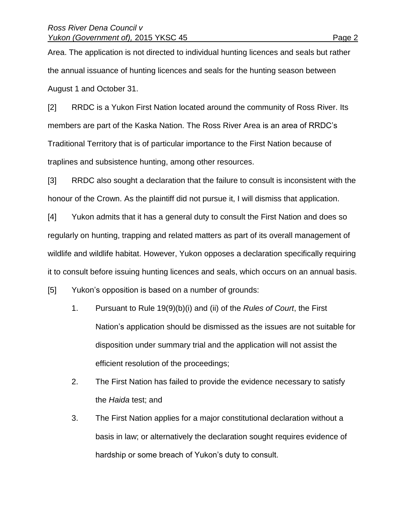Area. The application is not directed to individual hunting licences and seals but rather the annual issuance of hunting licences and seals for the hunting season between August 1 and October 31.

[2] RRDC is a Yukon First Nation located around the community of Ross River. Its members are part of the Kaska Nation. The Ross River Area is an area of RRDC's Traditional Territory that is of particular importance to the First Nation because of traplines and subsistence hunting, among other resources.

[3] RRDC also sought a declaration that the failure to consult is inconsistent with the honour of the Crown. As the plaintiff did not pursue it, I will dismiss that application.

[4] Yukon admits that it has a general duty to consult the First Nation and does so regularly on hunting, trapping and related matters as part of its overall management of wildlife and wildlife habitat. However, Yukon opposes a declaration specifically requiring it to consult before issuing hunting licences and seals, which occurs on an annual basis.

[5] Yukon's opposition is based on a number of grounds:

- 1. Pursuant to Rule 19(9)(b)(i) and (ii) of the *Rules of Court*, the First Nation's application should be dismissed as the issues are not suitable for disposition under summary trial and the application will not assist the efficient resolution of the proceedings;
- 2. The First Nation has failed to provide the evidence necessary to satisfy the *Haida* test; and
- 3. The First Nation applies for a major constitutional declaration without a basis in law; or alternatively the declaration sought requires evidence of hardship or some breach of Yukon's duty to consult.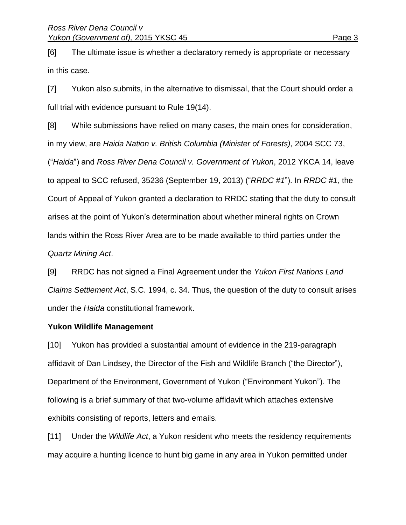[6] The ultimate issue is whether a declaratory remedy is appropriate or necessary in this case.

[7] Yukon also submits, in the alternative to dismissal, that the Court should order a full trial with evidence pursuant to Rule 19(14).

[8] While submissions have relied on many cases, the main ones for consideration, in my view, are *Haida Nation v. British Columbia (Minister of Forests)*, 2004 SCC 73, ("*Haida*") and *Ross River Dena Council v. Government of Yukon*, 2012 YKCA 14, leave to appeal to SCC refused, 35236 (September 19, 2013) ("*RRDC #1*"). In *RRDC #1,* the Court of Appeal of Yukon granted a declaration to RRDC stating that the duty to consult arises at the point of Yukon's determination about whether mineral rights on Crown lands within the Ross River Area are to be made available to third parties under the *Quartz Mining Act*.

[9] RRDC has not signed a Final Agreement under the *Yukon First Nations Land Claims Settlement Act*, S.C. 1994, c. 34. Thus, the question of the duty to consult arises under the *Haida* constitutional framework.

## **Yukon Wildlife Management**

[10] Yukon has provided a substantial amount of evidence in the 219-paragraph affidavit of Dan Lindsey, the Director of the Fish and Wildlife Branch ("the Director"), Department of the Environment, Government of Yukon ("Environment Yukon"). The following is a brief summary of that two-volume affidavit which attaches extensive exhibits consisting of reports, letters and emails.

[11] Under the *Wildlife Act*, a Yukon resident who meets the residency requirements may acquire a hunting licence to hunt big game in any area in Yukon permitted under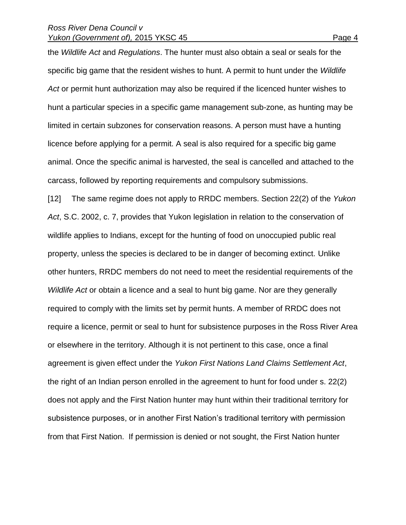#### *Ross River Dena Council v Yukon (Government of), 2015 YKSC 45* Page 4

the *Wildlife Act* and *Regulations*. The hunter must also obtain a seal or seals for the specific big game that the resident wishes to hunt. A permit to hunt under the *Wildlife Act* or permit hunt authorization may also be required if the licenced hunter wishes to hunt a particular species in a specific game management sub-zone, as hunting may be limited in certain subzones for conservation reasons. A person must have a hunting licence before applying for a permit. A seal is also required for a specific big game animal. Once the specific animal is harvested, the seal is cancelled and attached to the carcass, followed by reporting requirements and compulsory submissions.

[12] The same regime does not apply to RRDC members. Section 22(2) of the *Yukon Act*, S.C. 2002, c. 7, provides that Yukon legislation in relation to the conservation of wildlife applies to Indians, except for the hunting of food on unoccupied public real property, unless the species is declared to be in danger of becoming extinct. Unlike other hunters, RRDC members do not need to meet the residential requirements of the *Wildlife Act* or obtain a licence and a seal to hunt big game. Nor are they generally required to comply with the limits set by permit hunts. A member of RRDC does not require a licence, permit or seal to hunt for subsistence purposes in the Ross River Area or elsewhere in the territory. Although it is not pertinent to this case, once a final agreement is given effect under the *Yukon First Nations Land Claims Settlement Act*, the right of an Indian person enrolled in the agreement to hunt for food under s. 22(2) does not apply and the First Nation hunter may hunt within their traditional territory for subsistence purposes, or in another First Nation's traditional territory with permission from that First Nation. If permission is denied or not sought, the First Nation hunter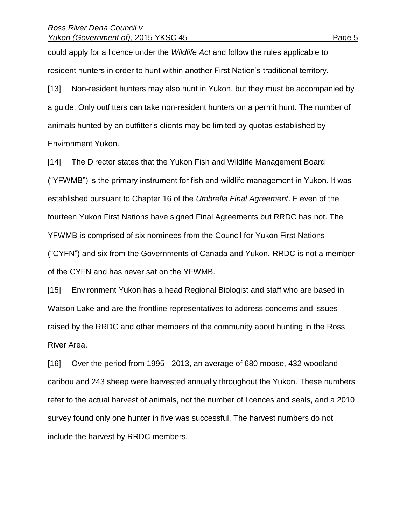could apply for a licence under the *Wildlife Act* and follow the rules applicable to resident hunters in order to hunt within another First Nation's traditional territory.

[13] Non-resident hunters may also hunt in Yukon, but they must be accompanied by a guide. Only outfitters can take non-resident hunters on a permit hunt. The number of animals hunted by an outfitter's clients may be limited by quotas established by Environment Yukon.

[14] The Director states that the Yukon Fish and Wildlife Management Board ("YFWMB") is the primary instrument for fish and wildlife management in Yukon. It was established pursuant to Chapter 16 of the *Umbrella Final Agreement*. Eleven of the fourteen Yukon First Nations have signed Final Agreements but RRDC has not. The YFWMB is comprised of six nominees from the Council for Yukon First Nations ("CYFN") and six from the Governments of Canada and Yukon. RRDC is not a member of the CYFN and has never sat on the YFWMB.

[15] Environment Yukon has a head Regional Biologist and staff who are based in Watson Lake and are the frontline representatives to address concerns and issues raised by the RRDC and other members of the community about hunting in the Ross River Area.

[16] Over the period from 1995 - 2013, an average of 680 moose, 432 woodland caribou and 243 sheep were harvested annually throughout the Yukon. These numbers refer to the actual harvest of animals, not the number of licences and seals, and a 2010 survey found only one hunter in five was successful. The harvest numbers do not include the harvest by RRDC members.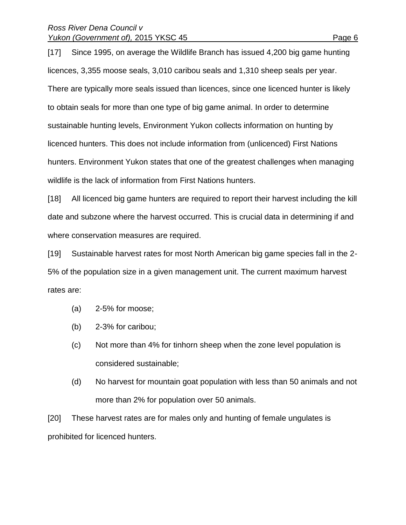## *Ross River Dena Council v Yukon (Government of), 2015 YKSC 45* Page 6

[17] Since 1995, on average the Wildlife Branch has issued 4,200 big game hunting licences, 3,355 moose seals, 3,010 caribou seals and 1,310 sheep seals per year. There are typically more seals issued than licences, since one licenced hunter is likely to obtain seals for more than one type of big game animal. In order to determine sustainable hunting levels, Environment Yukon collects information on hunting by licenced hunters. This does not include information from (unlicenced) First Nations hunters. Environment Yukon states that one of the greatest challenges when managing wildlife is the lack of information from First Nations hunters.

[18] All licenced big game hunters are required to report their harvest including the kill date and subzone where the harvest occurred. This is crucial data in determining if and where conservation measures are required.

[19] Sustainable harvest rates for most North American big game species fall in the 2- 5% of the population size in a given management unit. The current maximum harvest rates are:

- (a) 2-5% for moose;
- (b) 2-3% for caribou;
- (c) Not more than 4% for tinhorn sheep when the zone level population is considered sustainable;
- (d) No harvest for mountain goat population with less than 50 animals and not more than 2% for population over 50 animals.

[20] These harvest rates are for males only and hunting of female ungulates is prohibited for licenced hunters.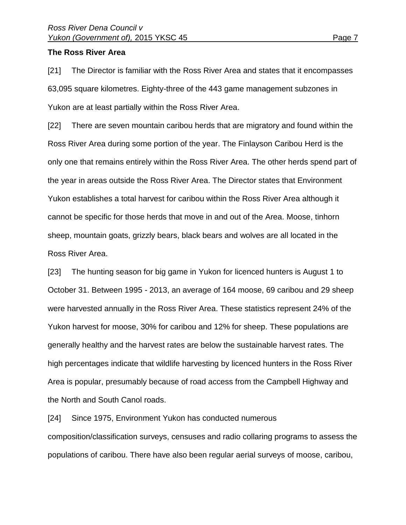#### **The Ross River Area**

[21] The Director is familiar with the Ross River Area and states that it encompasses 63,095 square kilometres. Eighty-three of the 443 game management subzones in Yukon are at least partially within the Ross River Area.

[22] There are seven mountain caribou herds that are migratory and found within the Ross River Area during some portion of the year. The Finlayson Caribou Herd is the only one that remains entirely within the Ross River Area. The other herds spend part of the year in areas outside the Ross River Area. The Director states that Environment Yukon establishes a total harvest for caribou within the Ross River Area although it cannot be specific for those herds that move in and out of the Area. Moose, tinhorn sheep, mountain goats, grizzly bears, black bears and wolves are all located in the Ross River Area.

[23] The hunting season for big game in Yukon for licenced hunters is August 1 to October 31. Between 1995 - 2013, an average of 164 moose, 69 caribou and 29 sheep were harvested annually in the Ross River Area. These statistics represent 24% of the Yukon harvest for moose, 30% for caribou and 12% for sheep. These populations are generally healthy and the harvest rates are below the sustainable harvest rates. The high percentages indicate that wildlife harvesting by licenced hunters in the Ross River Area is popular, presumably because of road access from the Campbell Highway and the North and South Canol roads.

[24] Since 1975, Environment Yukon has conducted numerous

composition/classification surveys, censuses and radio collaring programs to assess the populations of caribou. There have also been regular aerial surveys of moose, caribou,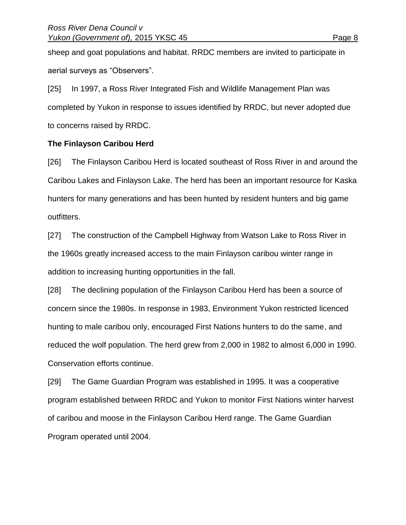sheep and goat populations and habitat. RRDC members are invited to participate in aerial surveys as "Observers".

[25] In 1997, a Ross River Integrated Fish and Wildlife Management Plan was completed by Yukon in response to issues identified by RRDC, but never adopted due to concerns raised by RRDC.

## **The Finlayson Caribou Herd**

[26] The Finlayson Caribou Herd is located southeast of Ross River in and around the Caribou Lakes and Finlayson Lake. The herd has been an important resource for Kaska hunters for many generations and has been hunted by resident hunters and big game outfitters.

[27] The construction of the Campbell Highway from Watson Lake to Ross River in the 1960s greatly increased access to the main Finlayson caribou winter range in addition to increasing hunting opportunities in the fall.

[28] The declining population of the Finlayson Caribou Herd has been a source of concern since the 1980s. In response in 1983, Environment Yukon restricted licenced hunting to male caribou only, encouraged First Nations hunters to do the same, and reduced the wolf population. The herd grew from 2,000 in 1982 to almost 6,000 in 1990. Conservation efforts continue.

[29] The Game Guardian Program was established in 1995. It was a cooperative program established between RRDC and Yukon to monitor First Nations winter harvest of caribou and moose in the Finlayson Caribou Herd range. The Game Guardian Program operated until 2004.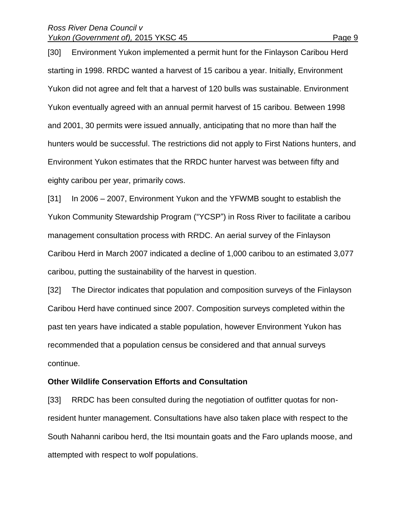#### *Ross River Dena Council v Yukon (Government of), 2015 YKSC 45* Page 9

[30] Environment Yukon implemented a permit hunt for the Finlayson Caribou Herd starting in 1998. RRDC wanted a harvest of 15 caribou a year. Initially, Environment Yukon did not agree and felt that a harvest of 120 bulls was sustainable. Environment Yukon eventually agreed with an annual permit harvest of 15 caribou. Between 1998 and 2001, 30 permits were issued annually, anticipating that no more than half the hunters would be successful. The restrictions did not apply to First Nations hunters, and Environment Yukon estimates that the RRDC hunter harvest was between fifty and eighty caribou per year, primarily cows.

[31] In 2006 – 2007, Environment Yukon and the YFWMB sought to establish the Yukon Community Stewardship Program ("YCSP") in Ross River to facilitate a caribou management consultation process with RRDC. An aerial survey of the Finlayson Caribou Herd in March 2007 indicated a decline of 1,000 caribou to an estimated 3,077 caribou, putting the sustainability of the harvest in question.

[32] The Director indicates that population and composition surveys of the Finlayson Caribou Herd have continued since 2007. Composition surveys completed within the past ten years have indicated a stable population, however Environment Yukon has recommended that a population census be considered and that annual surveys continue.

#### **Other Wildlife Conservation Efforts and Consultation**

[33] RRDC has been consulted during the negotiation of outfitter quotas for nonresident hunter management. Consultations have also taken place with respect to the South Nahanni caribou herd, the Itsi mountain goats and the Faro uplands moose, and attempted with respect to wolf populations.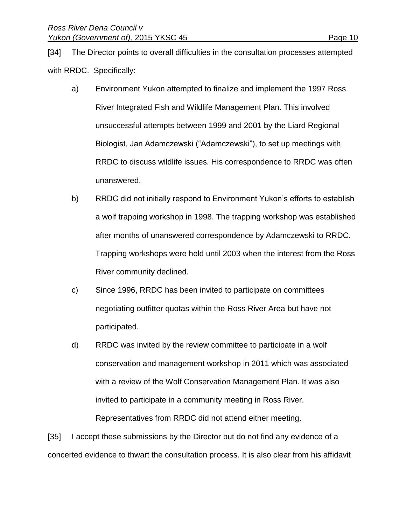[34] The Director points to overall difficulties in the consultation processes attempted with RRDC. Specifically:

- a) Environment Yukon attempted to finalize and implement the 1997 Ross River Integrated Fish and Wildlife Management Plan. This involved unsuccessful attempts between 1999 and 2001 by the Liard Regional Biologist, Jan Adamczewski ("Adamczewski"), to set up meetings with RRDC to discuss wildlife issues. His correspondence to RRDC was often unanswered.
- b) RRDC did not initially respond to Environment Yukon's efforts to establish a wolf trapping workshop in 1998. The trapping workshop was established after months of unanswered correspondence by Adamczewski to RRDC. Trapping workshops were held until 2003 when the interest from the Ross River community declined.
- c) Since 1996, RRDC has been invited to participate on committees negotiating outfitter quotas within the Ross River Area but have not participated.
- d) RRDC was invited by the review committee to participate in a wolf conservation and management workshop in 2011 which was associated with a review of the Wolf Conservation Management Plan. It was also invited to participate in a community meeting in Ross River.

Representatives from RRDC did not attend either meeting.

[35] I accept these submissions by the Director but do not find any evidence of a concerted evidence to thwart the consultation process. It is also clear from his affidavit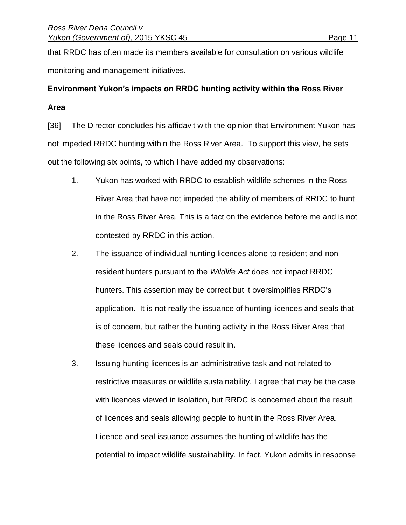that RRDC has often made its members available for consultation on various wildlife monitoring and management initiatives.

# **Environment Yukon's impacts on RRDC hunting activity within the Ross River Area**

[36] The Director concludes his affidavit with the opinion that Environment Yukon has not impeded RRDC hunting within the Ross River Area. To support this view, he sets out the following six points, to which I have added my observations:

- 1. Yukon has worked with RRDC to establish wildlife schemes in the Ross River Area that have not impeded the ability of members of RRDC to hunt in the Ross River Area. This is a fact on the evidence before me and is not contested by RRDC in this action.
- 2. The issuance of individual hunting licences alone to resident and nonresident hunters pursuant to the *Wildlife Act* does not impact RRDC hunters. This assertion may be correct but it oversimplifies RRDC's application. It is not really the issuance of hunting licences and seals that is of concern, but rather the hunting activity in the Ross River Area that these licences and seals could result in.
- 3. Issuing hunting licences is an administrative task and not related to restrictive measures or wildlife sustainability. I agree that may be the case with licences viewed in isolation, but RRDC is concerned about the result of licences and seals allowing people to hunt in the Ross River Area. Licence and seal issuance assumes the hunting of wildlife has the potential to impact wildlife sustainability. In fact, Yukon admits in response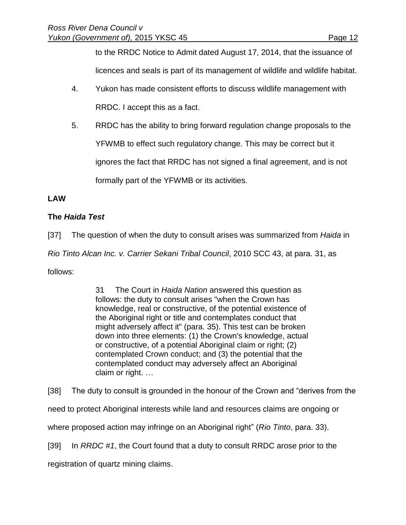to the RRDC Notice to Admit dated August 17, 2014, that the issuance of licences and seals is part of its management of wildlife and wildlife habitat.

- 4. Yukon has made consistent efforts to discuss wildlife management with RRDC. I accept this as a fact.
- 5. RRDC has the ability to bring forward regulation change proposals to the YFWMB to effect such regulatory change. This may be correct but it ignores the fact that RRDC has not signed a final agreement, and is not formally part of the YFWMB or its activities.

# **LAW**

# **The** *Haida Test*

[37] The question of when the duty to consult arises was summarized from *Haida* in *Rio Tinto Alcan Inc. v. Carrier Sekani Tribal Council*, 2010 SCC 43, at para. 31, as follows:

> 31 The Court in *Haida Nation* answered this question as follows: the duty to consult arises "when the Crown has knowledge, real or constructive, of the potential existence of the Aboriginal right or title and contemplates conduct that might adversely affect it" (para. 35). This test can be broken down into three elements: (1) the Crown's knowledge, actual or constructive, of a potential Aboriginal claim or right; (2) contemplated Crown conduct; and (3) the potential that the contemplated conduct may adversely affect an Aboriginal claim or right. …

[38] The duty to consult is grounded in the honour of the Crown and "derives from the

need to protect Aboriginal interests while land and resources claims are ongoing or

where proposed action may infringe on an Aboriginal right" (*Rio Tinto*, para. 33).

[39] In *RRDC #1*, the Court found that a duty to consult RRDC arose prior to the

registration of quartz mining claims.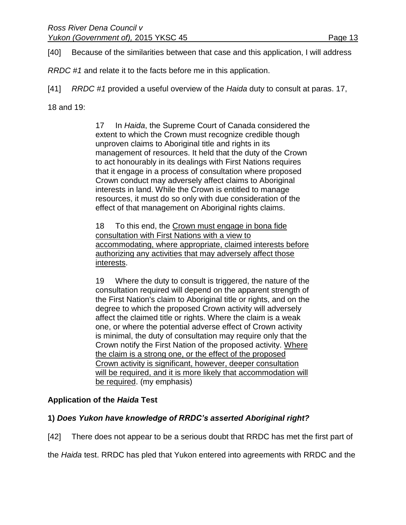[40] Because of the similarities between that case and this application, I will address

*RRDC #1* and relate it to the facts before me in this application.

[41] *RRDC #1* provided a useful overview of the *Haida* duty to consult at paras. 17,

18 and 19:

17 In *Haida*, the Supreme Court of Canada considered the extent to which the Crown must recognize credible though unproven claims to Aboriginal title and rights in its management of resources. It held that the duty of the Crown to act honourably in its dealings with First Nations requires that it engage in a process of consultation where proposed Crown conduct may adversely affect claims to Aboriginal interests in land. While the Crown is entitled to manage resources, it must do so only with due consideration of the effect of that management on Aboriginal rights claims.

18 To this end, the Crown must engage in bona fide consultation with First Nations with a view to accommodating, where appropriate, claimed interests before authorizing any activities that may adversely affect those interests.

19 Where the duty to consult is triggered, the nature of the consultation required will depend on the apparent strength of the First Nation's claim to Aboriginal title or rights, and on the degree to which the proposed Crown activity will adversely affect the claimed title or rights. Where the claim is a weak one, or where the potential adverse effect of Crown activity is minimal, the duty of consultation may require only that the Crown notify the First Nation of the proposed activity. Where the claim is a strong one, or the effect of the proposed Crown activity is significant, however, deeper consultation will be required, and it is more likely that accommodation will be required. (my emphasis)

# **Application of the** *Haida* **Test**

# **1)** *Does Yukon have knowledge of RRDC's asserted Aboriginal right?*

[42] There does not appear to be a serious doubt that RRDC has met the first part of

the *Haida* test. RRDC has pled that Yukon entered into agreements with RRDC and the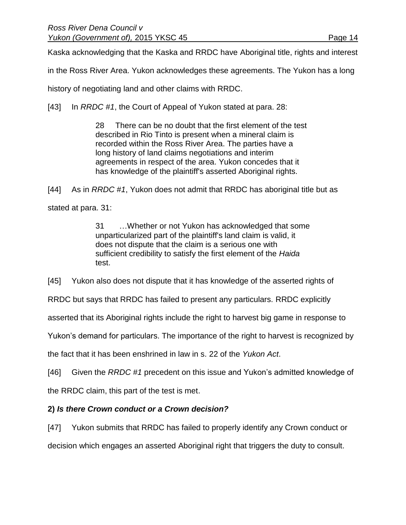Kaska acknowledging that the Kaska and RRDC have Aboriginal title, rights and interest

in the Ross River Area. Yukon acknowledges these agreements. The Yukon has a long

history of negotiating land and other claims with RRDC.

[43] In *RRDC #1*, the Court of Appeal of Yukon stated at para. 28:

28 There can be no doubt that the first element of the test described in Rio Tinto is present when a mineral claim is recorded within the Ross River Area. The parties have a long history of land claims negotiations and interim agreements in respect of the area. Yukon concedes that it has knowledge of the plaintiff's asserted Aboriginal rights.

[44] As in *RRDC #1*, Yukon does not admit that RRDC has aboriginal title but as stated at para. 31:

> 31 …Whether or not Yukon has acknowledged that some unparticularized part of the plaintiff's land claim is valid, it does not dispute that the claim is a serious one with sufficient credibility to satisfy the first element of the *Haida* test.

[45] Yukon also does not dispute that it has knowledge of the asserted rights of

RRDC but says that RRDC has failed to present any particulars. RRDC explicitly

asserted that its Aboriginal rights include the right to harvest big game in response to

Yukon's demand for particulars. The importance of the right to harvest is recognized by

the fact that it has been enshrined in law in s. 22 of the *Yukon Act*.

[46] Given the *RRDC #1* precedent on this issue and Yukon's admitted knowledge of

the RRDC claim, this part of the test is met.

# **2)** *Is there Crown conduct or a Crown decision?*

[47] Yukon submits that RRDC has failed to properly identify any Crown conduct or decision which engages an asserted Aboriginal right that triggers the duty to consult.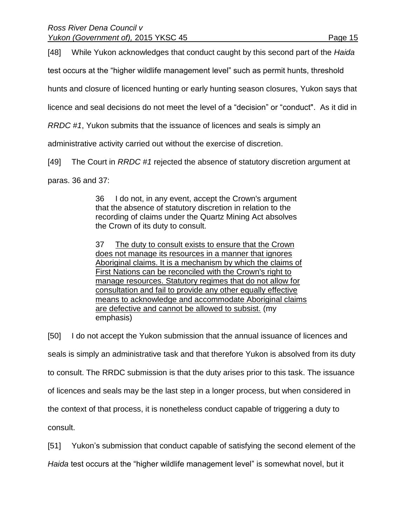[48] While Yukon acknowledges that conduct caught by this second part of the *Haida*

test occurs at the "higher wildlife management level" such as permit hunts, threshold

hunts and closure of licenced hunting or early hunting season closures, Yukon says that

licence and seal decisions do not meet the level of a "decision" or "conduct". As it did in

*RRDC #1*, Yukon submits that the issuance of licences and seals is simply an

administrative activity carried out without the exercise of discretion.

[49] The Court in *RRDC #1* rejected the absence of statutory discretion argument at

paras. 36 and 37:

36 I do not, in any event, accept the Crown's argument that the absence of statutory discretion in relation to the recording of claims under the Quartz Mining Act absolves the Crown of its duty to consult.

37 The duty to consult exists to ensure that the Crown does not manage its resources in a manner that ignores Aboriginal claims. It is a mechanism by which the claims of First Nations can be reconciled with the Crown's right to manage resources. Statutory regimes that do not allow for consultation and fail to provide any other equally effective means to acknowledge and accommodate Aboriginal claims are defective and cannot be allowed to subsist. (my emphasis)

[50] I do not accept the Yukon submission that the annual issuance of licences and seals is simply an administrative task and that therefore Yukon is absolved from its duty to consult. The RRDC submission is that the duty arises prior to this task. The issuance of licences and seals may be the last step in a longer process, but when considered in the context of that process, it is nonetheless conduct capable of triggering a duty to consult.

[51] Yukon's submission that conduct capable of satisfying the second element of the

*Haida* test occurs at the "higher wildlife management level" is somewhat novel, but it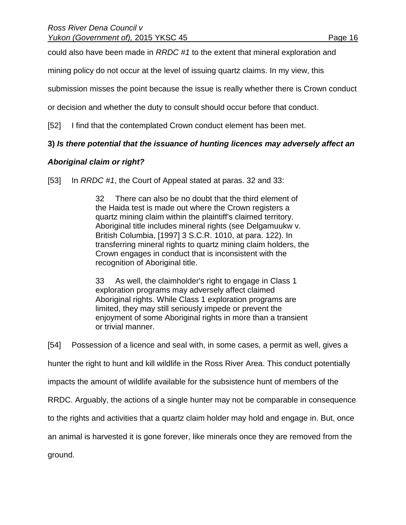could also have been made in *RRDC #1* to the extent that mineral exploration and

mining policy do not occur at the level of issuing quartz claims. In my view, this

submission misses the point because the issue is really whether there is Crown conduct

or decision and whether the duty to consult should occur before that conduct.

[52] I find that the contemplated Crown conduct element has been met.

## **3)** *Is there potential that the issuance of hunting licences may adversely affect an*

## *Aboriginal claim or right?*

[53] In *RRDC #1*, the Court of Appeal stated at paras. 32 and 33:

32 There can also be no doubt that the third element of the Haida test is made out where the Crown registers a quartz mining claim within the plaintiff's claimed territory. Aboriginal title includes mineral rights (see Delgamuukw v. British Columbia, [1997] 3 S.C.R. 1010, at para. 122). In transferring mineral rights to quartz mining claim holders, the Crown engages in conduct that is inconsistent with the recognition of Aboriginal title.

33 As well, the claimholder's right to engage in Class 1 exploration programs may adversely affect claimed Aboriginal rights. While Class 1 exploration programs are limited, they may still seriously impede or prevent the enjoyment of some Aboriginal rights in more than a transient or trivial manner.

[54] Possession of a licence and seal with, in some cases, a permit as well, gives a hunter the right to hunt and kill wildlife in the Ross River Area. This conduct potentially impacts the amount of wildlife available for the subsistence hunt of members of the RRDC. Arguably, the actions of a single hunter may not be comparable in consequence to the rights and activities that a quartz claim holder may hold and engage in. But, once an animal is harvested it is gone forever, like minerals once they are removed from the ground.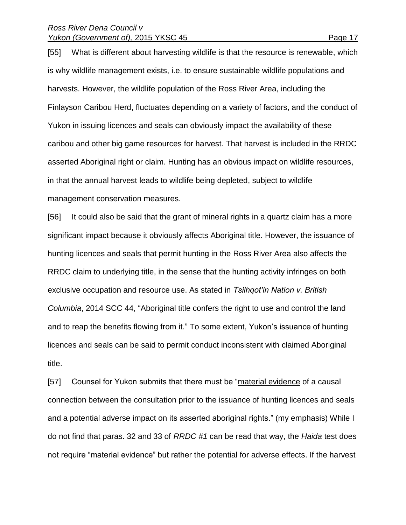#### *Ross River Dena Council v Yukon (Government of), 2015 YKSC 45* Page 17

[55] What is different about harvesting wildlife is that the resource is renewable, which is why wildlife management exists, i.e. to ensure sustainable wildlife populations and harvests. However, the wildlife population of the Ross River Area, including the Finlayson Caribou Herd, fluctuates depending on a variety of factors, and the conduct of Yukon in issuing licences and seals can obviously impact the availability of these caribou and other big game resources for harvest. That harvest is included in the RRDC asserted Aboriginal right or claim. Hunting has an obvious impact on wildlife resources, in that the annual harvest leads to wildlife being depleted, subject to wildlife

management conservation measures.

[56] It could also be said that the grant of mineral rights in a quartz claim has a more significant impact because it obviously affects Aboriginal title. However, the issuance of hunting licences and seals that permit hunting in the Ross River Area also affects the RRDC claim to underlying title, in the sense that the hunting activity infringes on both exclusive occupation and resource use. As stated in *Tsilhqot'in Nation v. British Columbia*, 2014 SCC 44, "Aboriginal title confers the right to use and control the land and to reap the benefits flowing from it." To some extent, Yukon's issuance of hunting licences and seals can be said to permit conduct inconsistent with claimed Aboriginal title.

[57] Counsel for Yukon submits that there must be "material evidence of a causal connection between the consultation prior to the issuance of hunting licences and seals and a potential adverse impact on its asserted aboriginal rights." (my emphasis) While I do not find that paras. 32 and 33 of *RRDC #1* can be read that way, the *Haida* test does not require "material evidence" but rather the potential for adverse effects. If the harvest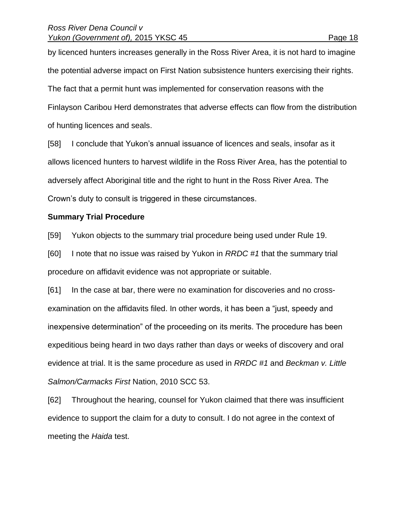by licenced hunters increases generally in the Ross River Area, it is not hard to imagine the potential adverse impact on First Nation subsistence hunters exercising their rights. The fact that a permit hunt was implemented for conservation reasons with the Finlayson Caribou Herd demonstrates that adverse effects can flow from the distribution of hunting licences and seals.

[58] I conclude that Yukon's annual issuance of licences and seals, insofar as it allows licenced hunters to harvest wildlife in the Ross River Area, has the potential to adversely affect Aboriginal title and the right to hunt in the Ross River Area. The Crown's duty to consult is triggered in these circumstances.

## **Summary Trial Procedure**

[59] Yukon objects to the summary trial procedure being used under Rule 19.

[60] I note that no issue was raised by Yukon in *RRDC #1* that the summary trial procedure on affidavit evidence was not appropriate or suitable.

[61] In the case at bar, there were no examination for discoveries and no crossexamination on the affidavits filed. In other words, it has been a "just, speedy and inexpensive determination" of the proceeding on its merits. The procedure has been expeditious being heard in two days rather than days or weeks of discovery and oral evidence at trial. It is the same procedure as used in *RRDC #1* and *Beckman v. Little Salmon/Carmacks First* Nation, 2010 SCC 53.

[62] Throughout the hearing, counsel for Yukon claimed that there was insufficient evidence to support the claim for a duty to consult. I do not agree in the context of meeting the *Haida* test.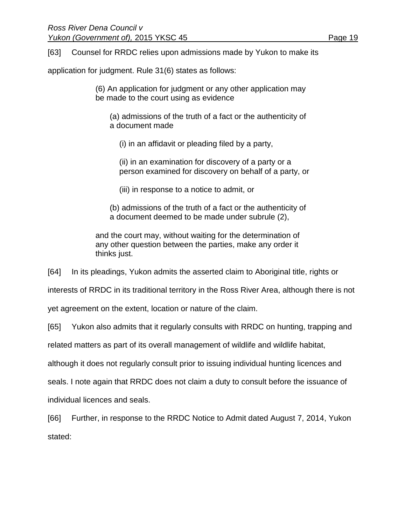[63] Counsel for RRDC relies upon admissions made by Yukon to make its

application for judgment. Rule 31(6) states as follows:

(6) An application for judgment or any other application may be made to the court using as evidence

(a) admissions of the truth of a fact or the authenticity of a document made

(i) in an affidavit or pleading filed by a party,

(ii) in an examination for discovery of a party or a person examined for discovery on behalf of a party, or

(iii) in response to a notice to admit, or

(b) admissions of the truth of a fact or the authenticity of a document deemed to be made under subrule (2),

and the court may, without waiting for the determination of any other question between the parties, make any order it thinks just.

[64] In its pleadings, Yukon admits the asserted claim to Aboriginal title, rights or

interests of RRDC in its traditional territory in the Ross River Area, although there is not

yet agreement on the extent, location or nature of the claim.

[65] Yukon also admits that it regularly consults with RRDC on hunting, trapping and

related matters as part of its overall management of wildlife and wildlife habitat,

although it does not regularly consult prior to issuing individual hunting licences and

seals. I note again that RRDC does not claim a duty to consult before the issuance of individual licences and seals.

[66] Further, in response to the RRDC Notice to Admit dated August 7, 2014, Yukon stated: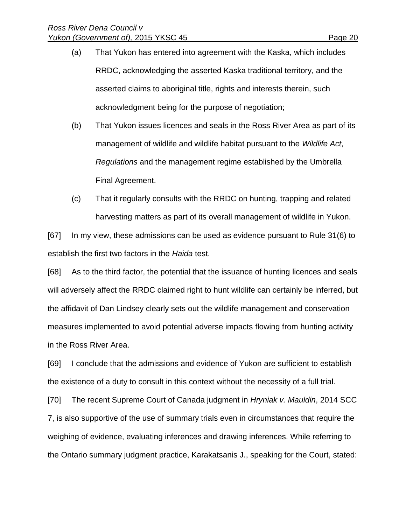- (a) That Yukon has entered into agreement with the Kaska, which includes RRDC, acknowledging the asserted Kaska traditional territory, and the asserted claims to aboriginal title, rights and interests therein, such acknowledgment being for the purpose of negotiation;
- (b) That Yukon issues licences and seals in the Ross River Area as part of its management of wildlife and wildlife habitat pursuant to the *Wildlife Act*, *Regulations* and the management regime established by the Umbrella Final Agreement.
- (c) That it regularly consults with the RRDC on hunting, trapping and related harvesting matters as part of its overall management of wildlife in Yukon.

[67] In my view, these admissions can be used as evidence pursuant to Rule 31(6) to establish the first two factors in the *Haida* test.

[68] As to the third factor, the potential that the issuance of hunting licences and seals will adversely affect the RRDC claimed right to hunt wildlife can certainly be inferred, but the affidavit of Dan Lindsey clearly sets out the wildlife management and conservation measures implemented to avoid potential adverse impacts flowing from hunting activity in the Ross River Area.

[69] I conclude that the admissions and evidence of Yukon are sufficient to establish the existence of a duty to consult in this context without the necessity of a full trial.

[70] The recent Supreme Court of Canada judgment in *Hryniak v. Mauldin*, 2014 SCC 7, is also supportive of the use of summary trials even in circumstances that require the weighing of evidence, evaluating inferences and drawing inferences. While referring to the Ontario summary judgment practice, Karakatsanis J., speaking for the Court, stated: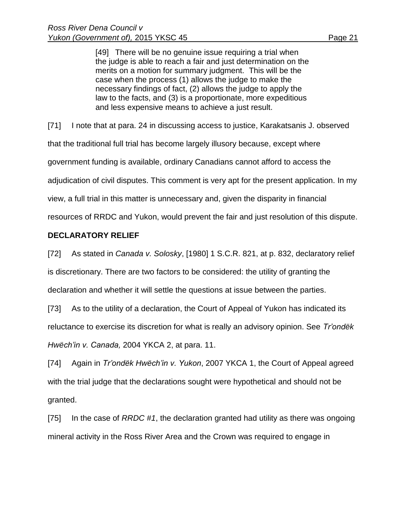[49] There will be no genuine issue requiring a trial when the judge is able to reach a fair and just determination on the merits on a motion for summary judgment. This will be the case when the process (1) allows the judge to make the necessary findings of fact, (2) allows the judge to apply the law to the facts, and (3) is a proportionate, more expeditious and less expensive means to achieve a just result.

[71] I note that at para. 24 in discussing access to justice, Karakatsanis J. observed

that the traditional full trial has become largely illusory because, except where

government funding is available, ordinary Canadians cannot afford to access the

adjudication of civil disputes. This comment is very apt for the present application. In my

view, a full trial in this matter is unnecessary and, given the disparity in financial

resources of RRDC and Yukon, would prevent the fair and just resolution of this dispute.

## **DECLARATORY RELIEF**

[72] As stated in *Canada v. Solosky*, [1980] 1 S.C.R. 821, at p. 832, declaratory relief is discretionary. There are two factors to be considered: the utility of granting the declaration and whether it will settle the questions at issue between the parties.

[73] As to the utility of a declaration, the Court of Appeal of Yukon has indicated its reluctance to exercise its discretion for what is really an advisory opinion. See *Tr'ondëk Hwëch'in v. Canada,* 2004 YKCA 2, at para. 11.

[74] Again in *Tr'ondëk Hwëch'in v. Yukon*, 2007 YKCA 1, the Court of Appeal agreed with the trial judge that the declarations sought were hypothetical and should not be granted.

[75] In the case of *RRDC #1*, the declaration granted had utility as there was ongoing mineral activity in the Ross River Area and the Crown was required to engage in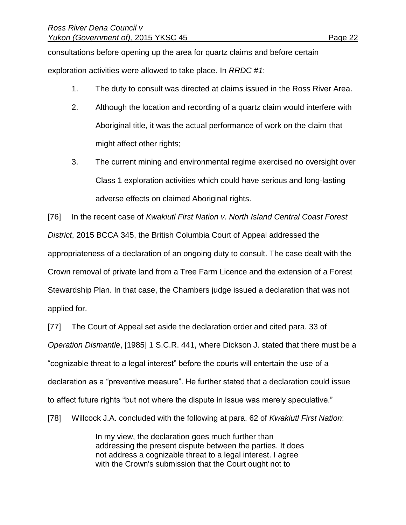consultations before opening up the area for quartz claims and before certain exploration activities were allowed to take place. In *RRDC #1*:

- 1. The duty to consult was directed at claims issued in the Ross River Area.
- 2. Although the location and recording of a quartz claim would interfere with Aboriginal title, it was the actual performance of work on the claim that might affect other rights;
- 3. The current mining and environmental regime exercised no oversight over Class 1 exploration activities which could have serious and long-lasting adverse effects on claimed Aboriginal rights.

[76] In the recent case of *Kwakiutl First Nation v. North Island Central Coast Forest District*, 2015 BCCA 345, the British Columbia Court of Appeal addressed the appropriateness of a declaration of an ongoing duty to consult. The case dealt with the Crown removal of private land from a Tree Farm Licence and the extension of a Forest Stewardship Plan. In that case, the Chambers judge issued a declaration that was not applied for.

[77] The Court of Appeal set aside the declaration order and cited para. 33 of *Operation Dismantle*, [1985] 1 S.C.R. 441, where Dickson J. stated that there must be a "cognizable threat to a legal interest" before the courts will entertain the use of a declaration as a "preventive measure". He further stated that a declaration could issue to affect future rights "but not where the dispute in issue was merely speculative."

[78] Willcock J.A. concluded with the following at para. 62 of *Kwakiutl First Nation*:

In my view, the declaration goes much further than addressing the present dispute between the parties. It does not address a cognizable threat to a legal interest. I agree with the Crown's submission that the Court ought not to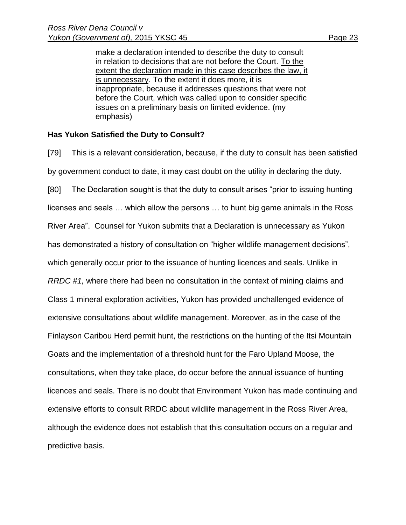make a declaration intended to describe the duty to consult in relation to decisions that are not before the Court. To the extent the declaration made in this case describes the law, it is unnecessary. To the extent it does more, it is inappropriate, because it addresses questions that were not before the Court, which was called upon to consider specific issues on a preliminary basis on limited evidence. (my emphasis)

## **Has Yukon Satisfied the Duty to Consult?**

[79] This is a relevant consideration, because, if the duty to consult has been satisfied by government conduct to date, it may cast doubt on the utility in declaring the duty. [80] The Declaration sought is that the duty to consult arises "prior to issuing hunting licenses and seals … which allow the persons … to hunt big game animals in the Ross River Area". Counsel for Yukon submits that a Declaration is unnecessary as Yukon has demonstrated a history of consultation on "higher wildlife management decisions", which generally occur prior to the issuance of hunting licences and seals. Unlike in *RRDC #1,* where there had been no consultation in the context of mining claims and Class 1 mineral exploration activities, Yukon has provided unchallenged evidence of extensive consultations about wildlife management. Moreover, as in the case of the Finlayson Caribou Herd permit hunt, the restrictions on the hunting of the Itsi Mountain Goats and the implementation of a threshold hunt for the Faro Upland Moose, the consultations, when they take place, do occur before the annual issuance of hunting licences and seals. There is no doubt that Environment Yukon has made continuing and extensive efforts to consult RRDC about wildlife management in the Ross River Area, although the evidence does not establish that this consultation occurs on a regular and predictive basis.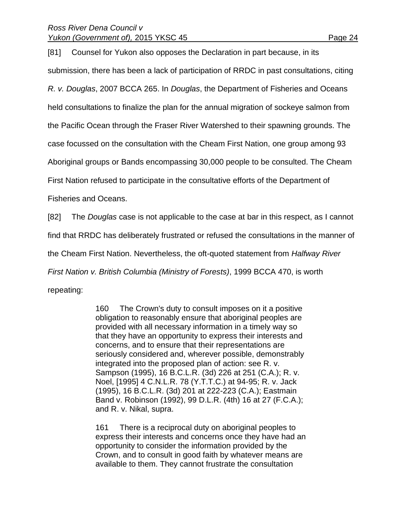[81] Counsel for Yukon also opposes the Declaration in part because, in its submission, there has been a lack of participation of RRDC in past consultations, citing *R. v. Douglas*, 2007 BCCA 265. In *Douglas*, the Department of Fisheries and Oceans held consultations to finalize the plan for the annual migration of sockeye salmon from the Pacific Ocean through the Fraser River Watershed to their spawning grounds. The case focussed on the consultation with the Cheam First Nation, one group among 93 Aboriginal groups or Bands encompassing 30,000 people to be consulted. The Cheam First Nation refused to participate in the consultative efforts of the Department of Fisheries and Oceans. [82] The *Douglas* case is not applicable to the case at bar in this respect, as I cannot find that RRDC has deliberately frustrated or refused the consultations in the manner of the Cheam First Nation. Nevertheless, the oft-quoted statement from *Halfway River* 

*First Nation v. British Columbia (Ministry of Forests)*, 1999 BCCA 470, is worth repeating:

> 160 The Crown's duty to consult imposes on it a positive obligation to reasonably ensure that aboriginal peoples are provided with all necessary information in a timely way so that they have an opportunity to express their interests and concerns, and to ensure that their representations are seriously considered and, wherever possible, demonstrably integrated into the proposed plan of action: see R. v. Sampson (1995), 16 B.C.L.R. (3d) 226 at 251 (C.A.); R. v. Noel, [1995] 4 C.N.L.R. 78 (Y.T.T.C.) at 94-95; R. v. Jack (1995), 16 B.C.L.R. (3d) 201 at 222-223 (C.A.); Eastmain Band v. Robinson (1992), 99 D.L.R. (4th) 16 at 27 (F.C.A.); and R. v. Nikal, supra.

> 161 There is a reciprocal duty on aboriginal peoples to express their interests and concerns once they have had an opportunity to consider the information provided by the Crown, and to consult in good faith by whatever means are available to them. They cannot frustrate the consultation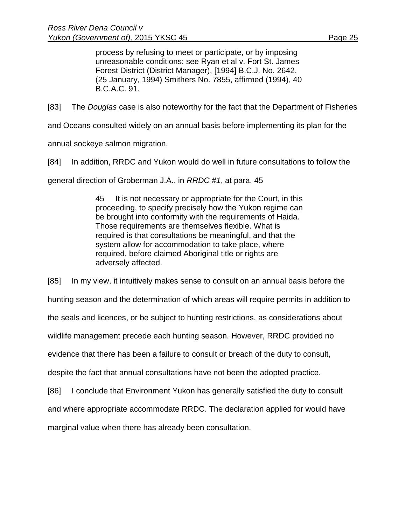process by refusing to meet or participate, or by imposing unreasonable conditions: see Ryan et al v. Fort St. James Forest District (District Manager), [1994] B.C.J. No. 2642, (25 January, 1994) Smithers No. 7855, affirmed (1994), 40 B.C.A.C. 91.

[83] The *Douglas* case is also noteworthy for the fact that the Department of Fisheries

and Oceans consulted widely on an annual basis before implementing its plan for the

annual sockeye salmon migration.

[84] In addition, RRDC and Yukon would do well in future consultations to follow the general direction of Groberman J.A., in *RRDC #1*, at para. 45

> 45 It is not necessary or appropriate for the Court, in this proceeding, to specify precisely how the Yukon regime can be brought into conformity with the requirements of Haida. Those requirements are themselves flexible. What is required is that consultations be meaningful, and that the system allow for accommodation to take place, where required, before claimed Aboriginal title or rights are adversely affected.

[85] In my view, it intuitively makes sense to consult on an annual basis before the hunting season and the determination of which areas will require permits in addition to the seals and licences, or be subject to hunting restrictions, as considerations about wildlife management precede each hunting season. However, RRDC provided no evidence that there has been a failure to consult or breach of the duty to consult, despite the fact that annual consultations have not been the adopted practice. [86] I conclude that Environment Yukon has generally satisfied the duty to consult and where appropriate accommodate RRDC. The declaration applied for would have marginal value when there has already been consultation.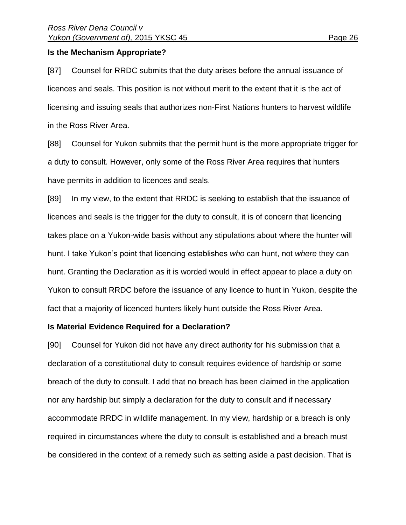## **Is the Mechanism Appropriate?**

[87] Counsel for RRDC submits that the duty arises before the annual issuance of licences and seals. This position is not without merit to the extent that it is the act of licensing and issuing seals that authorizes non-First Nations hunters to harvest wildlife in the Ross River Area.

[88] Counsel for Yukon submits that the permit hunt is the more appropriate trigger for a duty to consult. However, only some of the Ross River Area requires that hunters have permits in addition to licences and seals.

[89] In my view, to the extent that RRDC is seeking to establish that the issuance of licences and seals is the trigger for the duty to consult, it is of concern that licencing takes place on a Yukon-wide basis without any stipulations about where the hunter will hunt. I take Yukon's point that licencing establishes *who* can hunt, not *where* they can hunt. Granting the Declaration as it is worded would in effect appear to place a duty on Yukon to consult RRDC before the issuance of any licence to hunt in Yukon, despite the fact that a majority of licenced hunters likely hunt outside the Ross River Area.

### **Is Material Evidence Required for a Declaration?**

[90] Counsel for Yukon did not have any direct authority for his submission that a declaration of a constitutional duty to consult requires evidence of hardship or some breach of the duty to consult. I add that no breach has been claimed in the application nor any hardship but simply a declaration for the duty to consult and if necessary accommodate RRDC in wildlife management. In my view, hardship or a breach is only required in circumstances where the duty to consult is established and a breach must be considered in the context of a remedy such as setting aside a past decision. That is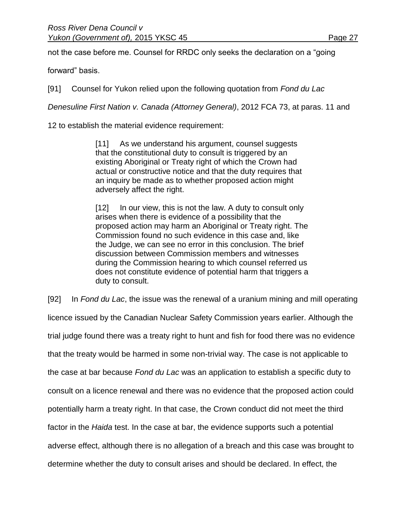not the case before me. Counsel for RRDC only seeks the declaration on a "going

forward" basis.

[91] Counsel for Yukon relied upon the following quotation from *Fond du Lac*

*Denesuline First Nation v. Canada (Attorney General)*, 2012 FCA 73, at paras. 11 and

12 to establish the material evidence requirement:

[11] As we understand his argument, counsel suggests that the constitutional duty to consult is triggered by an existing Aboriginal or Treaty right of which the Crown had actual or constructive notice and that the duty requires that an inquiry be made as to whether proposed action might adversely affect the right.

[12] In our view, this is not the law. A duty to consult only arises when there is evidence of a possibility that the proposed action may harm an Aboriginal or Treaty right. The Commission found no such evidence in this case and, like the Judge, we can see no error in this conclusion. The brief discussion between Commission members and witnesses during the Commission hearing to which counsel referred us does not constitute evidence of potential harm that triggers a duty to consult.

[92] In *Fond du Lac*, the issue was the renewal of a uranium mining and mill operating licence issued by the Canadian Nuclear Safety Commission years earlier. Although the trial judge found there was a treaty right to hunt and fish for food there was no evidence that the treaty would be harmed in some non-trivial way. The case is not applicable to the case at bar because *Fond du Lac* was an application to establish a specific duty to consult on a licence renewal and there was no evidence that the proposed action could potentially harm a treaty right. In that case, the Crown conduct did not meet the third factor in the *Haida* test. In the case at bar, the evidence supports such a potential adverse effect, although there is no allegation of a breach and this case was brought to determine whether the duty to consult arises and should be declared. In effect, the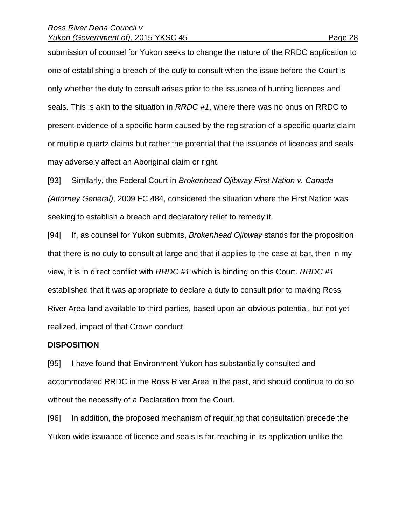#### *Ross River Dena Council v Yukon (Government of), 2015 YKSC 45* Page 28

submission of counsel for Yukon seeks to change the nature of the RRDC application to one of establishing a breach of the duty to consult when the issue before the Court is only whether the duty to consult arises prior to the issuance of hunting licences and seals. This is akin to the situation in *RRDC #1*, where there was no onus on RRDC to present evidence of a specific harm caused by the registration of a specific quartz claim or multiple quartz claims but rather the potential that the issuance of licences and seals may adversely affect an Aboriginal claim or right.

[93] Similarly, the Federal Court in *Brokenhead Ojibway First Nation v. Canada (Attorney General)*, 2009 FC 484, considered the situation where the First Nation was seeking to establish a breach and declaratory relief to remedy it.

[94] If, as counsel for Yukon submits, *Brokenhead Ojibway* stands for the proposition that there is no duty to consult at large and that it applies to the case at bar, then in my view, it is in direct conflict with *RRDC #1* which is binding on this Court. *RRDC #1* established that it was appropriate to declare a duty to consult prior to making Ross River Area land available to third parties, based upon an obvious potential, but not yet realized, impact of that Crown conduct.

#### **DISPOSITION**

[95] I have found that Environment Yukon has substantially consulted and accommodated RRDC in the Ross River Area in the past, and should continue to do so without the necessity of a Declaration from the Court.

[96] In addition, the proposed mechanism of requiring that consultation precede the Yukon-wide issuance of licence and seals is far-reaching in its application unlike the